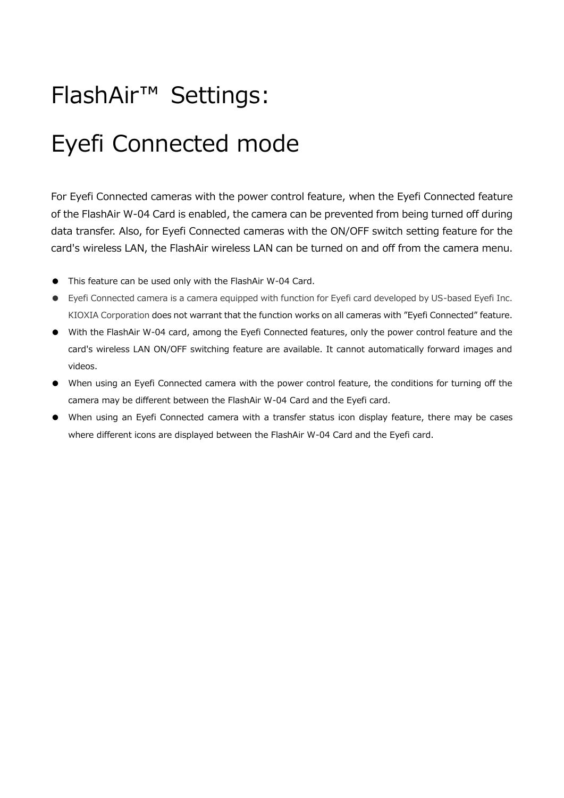# FlashAir™ Settings:

# Eyefi Connected mode

For Eyefi Connected cameras with the power control feature, when the Eyefi Connected feature of the FlashAir W-04 Card is enabled, the camera can be prevented from being turned off during data transfer. Also, for Eyefi Connected cameras with the ON/OFF switch setting feature for the card's wireless LAN, the FlashAir wireless LAN can be turned on and off from the camera menu.

- This feature can be used only with the FlashAir W-04 Card.
- Eyefi Connected camera is a camera equipped with function for Eyefi card developed by US-based Eyefi Inc. KIOXIA Corporation does not warrant that the function works on all cameras with "Eyefi Connected" feature.
- With the FlashAir W-04 card, among the Eyefi Connected features, only the power control feature and the card's wireless LAN ON/OFF switching feature are available. It cannot automatically forward images and videos.
- When using an Eyefi Connected camera with the power control feature, the conditions for turning off the camera may be different between the FlashAir W-04 Card and the Eyefi card.
- When using an Eyefi Connected camera with a transfer status icon display feature, there may be cases where different icons are displayed between the FlashAir W-04 Card and the Eyefi card.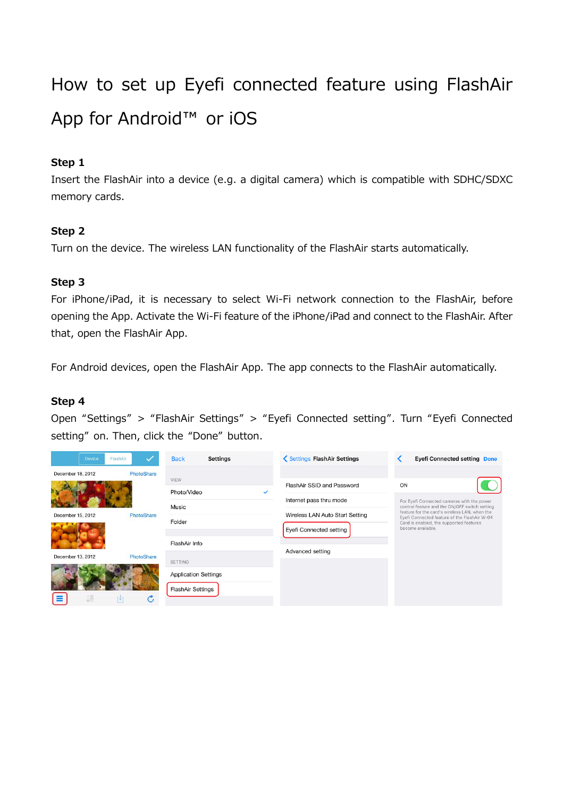# How to set up Eyefi connected feature using FlashAir App for Android™ or iOS

## **Step 1**

Insert the FlashAir into a device (e.g. a digital camera) which is compatible with SDHC/SDXC memory cards.

# **Step 2**

Turn on the device. The wireless LAN functionality of the FlashAir starts automatically.

# **Step 3**

For iPhone/iPad, it is necessary to select Wi-Fi network connection to the FlashAir, before opening the App. Activate the Wi-Fi feature of the iPhone/iPad and connect to the FlashAir. After that, open the FlashAir App.

For Android devices, open the FlashAir App. The app connects to the FlashAir automatically.

## **Step 4**

Open "Settings" > "FlashAir Settings" > "Eyefi Connected setting". Turn "Eyefi Connected setting" on. Then, click the "Done" button.

| FlashAir<br>Device | $\checkmark$      | <b>Back</b><br>Settings     |   | Settings FlashAir Settings      | <b>Eyefi Connected setting Done</b>                                                                                                            |  |
|--------------------|-------------------|-----------------------------|---|---------------------------------|------------------------------------------------------------------------------------------------------------------------------------------------|--|
| December 18, 2012  | PhotoShare        | VIEW                        |   |                                 |                                                                                                                                                |  |
|                    |                   | Photo/Video                 | ✓ | FlashAir SSID and Password      | ON                                                                                                                                             |  |
|                    |                   |                             |   | Internet pass thru mode         | For Eyefi Connected cameras with the power                                                                                                     |  |
| December 15, 2012  | PhotoShare        | Music                       |   | Wireless LAN Auto Start Setting | control feature and the ON/OFF switch setting<br>feature for the card's wireless LAN, when the<br>Eyefi Connected feature of the FlashAir W-04 |  |
|                    |                   | Folder                      |   | Eyefi Connected setting         | Card is enabled, the supported features<br>become available.                                                                                   |  |
|                    |                   | FlashAir Info               |   |                                 |                                                                                                                                                |  |
| December 13, 2012  | PhotoShare        |                             |   | Advanced setting                |                                                                                                                                                |  |
|                    |                   | SETTING                     |   |                                 |                                                                                                                                                |  |
|                    |                   | <b>Application Settings</b> |   |                                 |                                                                                                                                                |  |
| 這                  | $\mathcal{C}_{I}$ | FlashAir Settings           |   |                                 |                                                                                                                                                |  |
| 叫                  |                   |                             |   |                                 |                                                                                                                                                |  |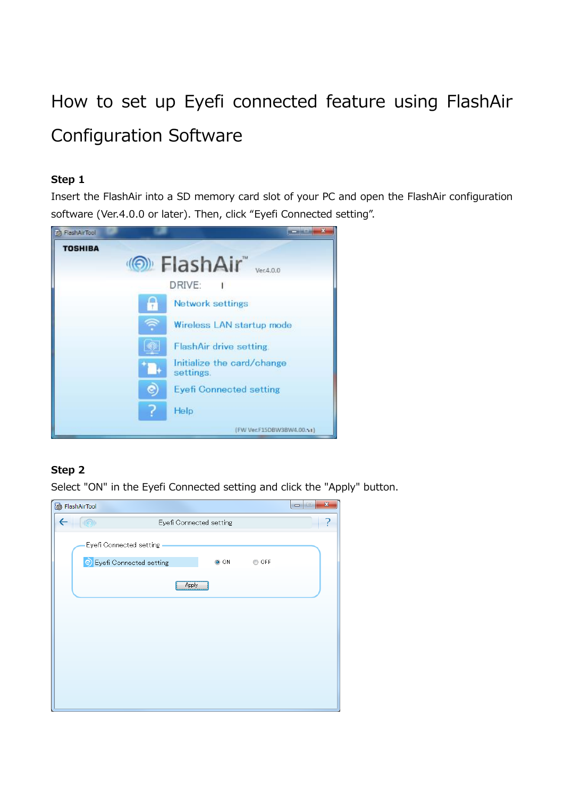# How to set up Eyefi connected feature using FlashAir Configuration Software

### **Step 1**

Insert the FlashAir into a SD memory card slot of your PC and open the FlashAir configuration software (Ver.4.0.0 or later). Then, click "Eyefi Connected setting".



# **Step 2**

Select "ON" in the Eyefi Connected setting and click the "Apply" button.

| <b>B</b> FlashAirTool   |                           |            |       | $\mathbf{x}$<br>e<br>$\qquad \qquad$ |
|-------------------------|---------------------------|------------|-------|--------------------------------------|
|                         | ?                         |            |       |                                      |
| Eyefi Connected setting |                           |            |       |                                      |
|                         | S Eyefi Connected setting | $\odot$ ON | ◎ OFF |                                      |
|                         |                           | Apply      |       |                                      |
|                         |                           |            |       |                                      |
|                         |                           |            |       |                                      |
|                         |                           |            |       |                                      |
|                         |                           |            |       |                                      |
|                         |                           |            |       |                                      |
|                         |                           |            |       |                                      |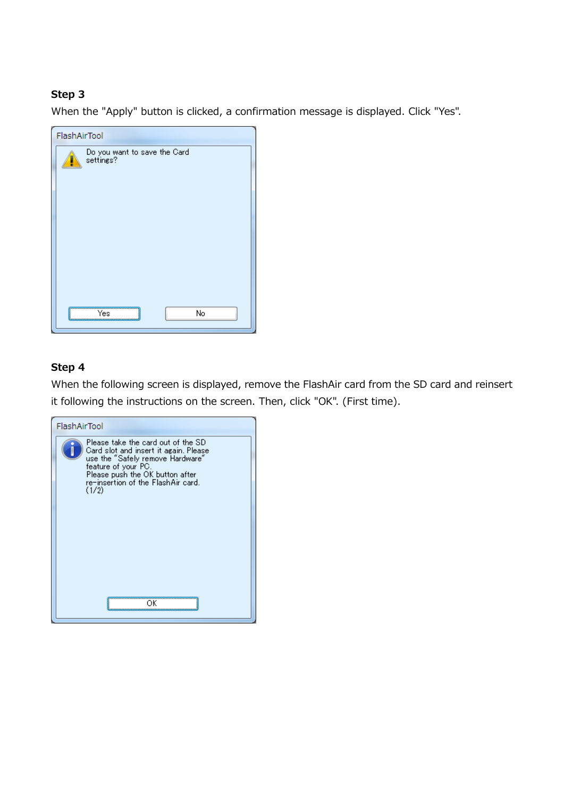#### **Step 3**

When the "Apply" button is clicked, a confirmation message is displayed. Click "Yes".

| FlashAirTool                              |  |  |  |  |  |  |  |  |
|-------------------------------------------|--|--|--|--|--|--|--|--|
| Do you want to save the Card<br>settings? |  |  |  |  |  |  |  |  |
|                                           |  |  |  |  |  |  |  |  |
|                                           |  |  |  |  |  |  |  |  |
| No<br>Yes                                 |  |  |  |  |  |  |  |  |

#### **Step 4**

When the following screen is displayed, remove the FlashAir card from the SD card and reinsert it following the instructions on the screen. Then, click "OK". (First time).